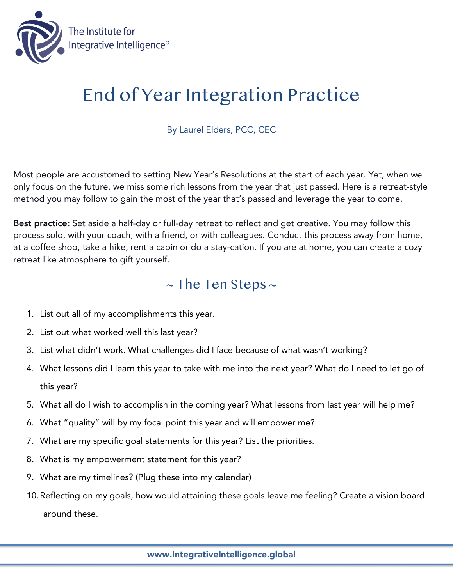

## End of Year Integration Practice

By Laurel Elders, PCC, CEC

Most people are accustomed to setting New Year's Resolutions at the start of each year. Yet, when we only focus on the future, we miss some rich lessons from the year that just passed. Here is a retreat-style method you may follow to gain the most of the year that's passed and leverage the year to come.

Best practice: Set aside a half-day or full-day retreat to reflect and get creative. You may follow this process solo, with your coach, with a friend, or with colleagues. Conduct this process away from home, at a coffee shop, take a hike, rent a cabin or do a stay-cation. If you are at home, you can create a cozy retreat like atmosphere to gift yourself.

## $\sim$  The Ten Steps  $\sim$

- 1. List out all of my accomplishments this year.
- 2. List out what worked well this last year?
- 3. List what didn't work. What challenges did I face because of what wasn't working?
- 4. What lessons did I learn this year to take with me into the next year? What do I need to let go of this year?
- 5. What all do I wish to accomplish in the coming year? What lessons from last year will help me?
- 6. What "quality" will by my focal point this year and will empower me?
- 7. What are my specific goal statements for this year? List the priorities.
- 8. What is my empowerment statement for this year?
- 9. What are my timelines? (Plug these into my calendar)
- 10.Reflecting on my goals, how would attaining these goals leave me feeling? Create a vision board around these.